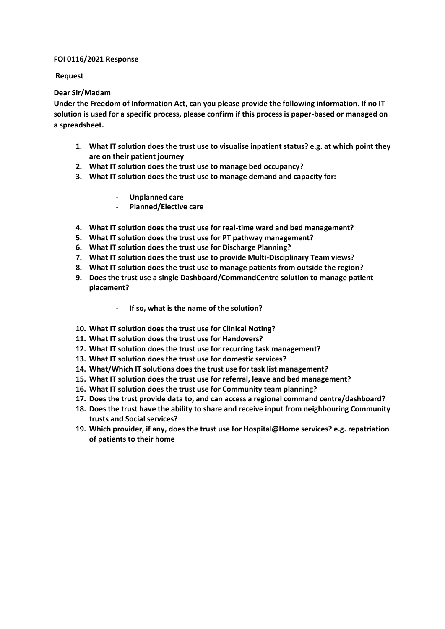## **FOI 0116/2021 Response**

## **Request**

# **Dear Sir/Madam**

**Under the Freedom of Information Act, can you please provide the following information. If no IT solution is used for a specific process, please confirm if this process is paper-based or managed on a spreadsheet.**

- **1. What IT solution does the trust use to visualise inpatient status? e.g. at which point they are on their patient journey**
- **2. What IT solution does the trust use to manage bed occupancy?**
- **3. What IT solution does the trust use to manage demand and capacity for:**
	- **Unplanned care**
	- **Planned/Elective care**
- **4. What IT solution does the trust use for real-time ward and bed management?**
- **5. What IT solution does the trust use for PT pathway management?**
- **6. What IT solution does the trust use for Discharge Planning?**
- **7. What IT solution does the trust use to provide Multi-Disciplinary Team views?**
- **8. What IT solution does the trust use to manage patients from outside the region?**
- **9. Does the trust use a single Dashboard/CommandCentre solution to manage patient placement?**
	- **If so, what is the name of the solution?**
- **10. What IT solution does the trust use for Clinical Noting?**
- **11. What IT solution does the trust use for Handovers?**
- **12. What IT solution does the trust use for recurring task management?**
- **13. What IT solution does the trust use for domestic services?**
- **14. What/Which IT solutions does the trust use for task list management?**
- **15. What IT solution does the trust use for referral, leave and bed management?**
- **16. What IT solution does the trust use for Community team planning?**
- **17. Does the trust provide data to, and can access a regional command centre/dashboard?**
- **18. Does the trust have the ability to share and receive input from neighbouring Community trusts and Social services?**
- **19. Which provider, if any, does the trust use for Hospital@Home services? e.g. repatriation of patients to their home**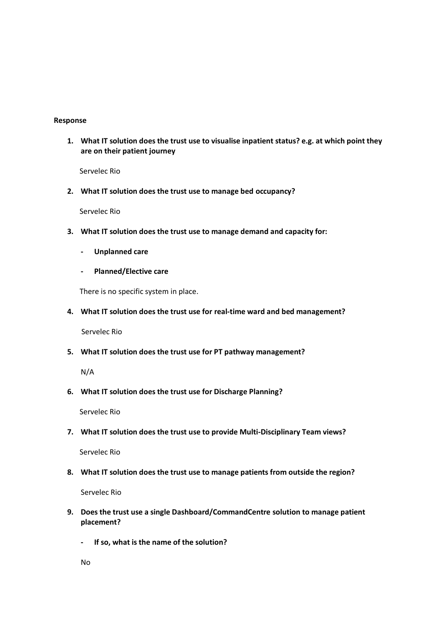# **Response**

**1. What IT solution does the trust use to visualise inpatient status? e.g. at which point they are on their patient journey**

Servelec Rio

**2. What IT solution does the trust use to manage bed occupancy?**

Servelec Rio

- **3. What IT solution does the trust use to manage demand and capacity for:**
	- **- Unplanned care**
	- **- Planned/Elective care**

There is no specific system in place.

**4. What IT solution does the trust use for real-time ward and bed management?**

Servelec Rio

**5. What IT solution does the trust use for PT pathway management?**

N/A

**6. What IT solution does the trust use for Discharge Planning?**

Servelec Rio

**7. What IT solution does the trust use to provide Multi-Disciplinary Team views?**

Servelec Rio

**8. What IT solution does the trust use to manage patients from outside the region?**

Servelec Rio

- **9. Does the trust use a single Dashboard/CommandCentre solution to manage patient placement?**
	- **- If so, what is the name of the solution?**

No